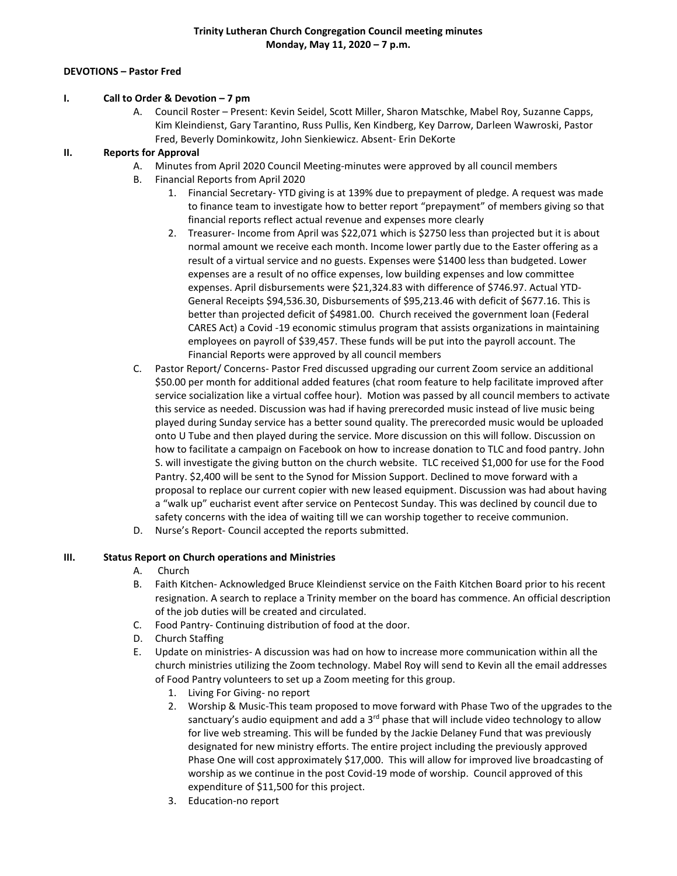#### **DEVOTIONS – Pastor Fred**

#### **I. Call to Order & Devotion – 7 pm**

A. Council Roster – Present: Kevin Seidel, Scott Miller, Sharon Matschke, Mabel Roy, Suzanne Capps, Kim Kleindienst, Gary Tarantino, Russ Pullis, Ken Kindberg, Key Darrow, Darleen Wawroski, Pastor Fred, Beverly Dominkowitz, John Sienkiewicz. Absent- Erin DeKorte

### **II. Reports for Approval**

- A. Minutes from April 2020 Council Meeting-minutes were approved by all council members
- B. Financial Reports from April 2020
	- 1. Financial Secretary- YTD giving is at 139% due to prepayment of pledge. A request was made to finance team to investigate how to better report "prepayment" of members giving so that financial reports reflect actual revenue and expenses more clearly
	- 2. Treasurer- Income from April was \$22,071 which is \$2750 less than projected but it is about normal amount we receive each month. Income lower partly due to the Easter offering as a result of a virtual service and no guests. Expenses were \$1400 less than budgeted. Lower expenses are a result of no office expenses, low building expenses and low committee expenses. April disbursements were \$21,324.83 with difference of \$746.97. Actual YTD-General Receipts \$94,536.30, Disbursements of \$95,213.46 with deficit of \$677.16. This is better than projected deficit of \$4981.00. Church received the government loan (Federal CARES Act) a Covid -19 economic stimulus program that assists organizations in maintaining employees on payroll of \$39,457. These funds will be put into the payroll account. The Financial Reports were approved by all council members
- C. Pastor Report/ Concerns- Pastor Fred discussed upgrading our current Zoom service an additional \$50.00 per month for additional added features (chat room feature to help facilitate improved after service socialization like a virtual coffee hour). Motion was passed by all council members to activate this service as needed. Discussion was had if having prerecorded music instead of live music being played during Sunday service has a better sound quality. The prerecorded music would be uploaded onto U Tube and then played during the service. More discussion on this will follow. Discussion on how to facilitate a campaign on Facebook on how to increase donation to TLC and food pantry. John S. will investigate the giving button on the church website. TLC received \$1,000 for use for the Food Pantry. \$2,400 will be sent to the Synod for Mission Support. Declined to move forward with a proposal to replace our current copier with new leased equipment. Discussion was had about having a "walk up" eucharist event after service on Pentecost Sunday. This was declined by council due to safety concerns with the idea of waiting till we can worship together to receive communion.
- D. Nurse's Report- Council accepted the reports submitted.

#### **III. Status Report on Church operations and Ministries**

- A. Church
- B. Faith Kitchen- Acknowledged Bruce Kleindienst service on the Faith Kitchen Board prior to his recent resignation. A search to replace a Trinity member on the board has commence. An official description of the job duties will be created and circulated.
- C. Food Pantry- Continuing distribution of food at the door.
- D. Church Staffing
- E. Update on ministries- A discussion was had on how to increase more communication within all the church ministries utilizing the Zoom technology. Mabel Roy will send to Kevin all the email addresses of Food Pantry volunteers to set up a Zoom meeting for this group.
	- 1. Living For Giving- no report
	- 2. Worship & Music-This team proposed to move forward with Phase Two of the upgrades to the sanctuary's audio equipment and add a  $3<sup>rd</sup>$  phase that will include video technology to allow for live web streaming. This will be funded by the Jackie Delaney Fund that was previously designated for new ministry efforts. The entire project including the previously approved Phase One will cost approximately \$17,000. This will allow for improved live broadcasting of worship as we continue in the post Covid-19 mode of worship. Council approved of this expenditure of \$11,500 for this project.
	- 3. Education-no report